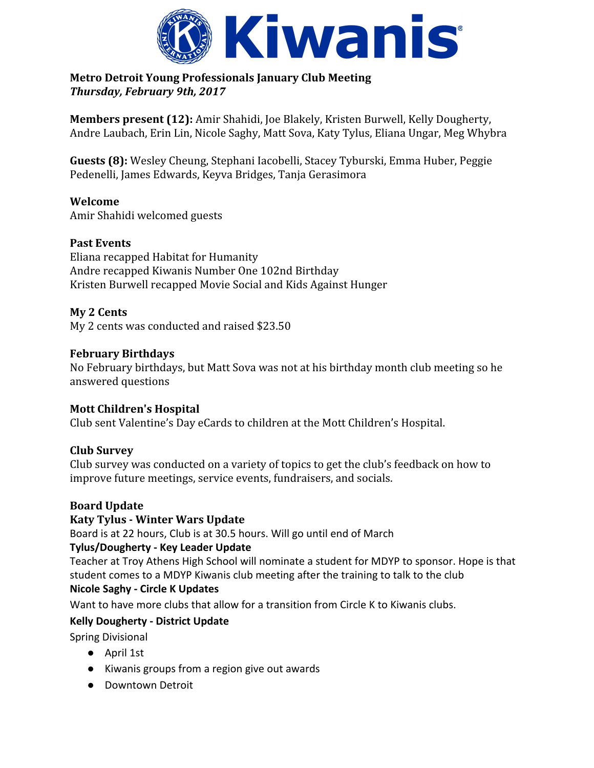

## **Metro Detroit Young Professionals January Club Meeting** *Thursday, February 9th, 2017*

**Members present (12):** Amir Shahidi, Joe Blakely, Kristen Burwell, Kelly Dougherty, Andre Laubach, Erin Lin, Nicole Saghy, Matt Sova, Katy Tylus, Eliana Ungar, Meg Whybra

**Guests (8):** Wesley Cheung, Stephani Iacobelli, Stacey Tyburski, Emma Huber, Peggie Pedenelli, James Edwards, Keyva Bridges, Tanja Gerasimora

**Welcome** Amir Shahidi welcomed guests

## **Past Events**

Eliana recapped Habitat for Humanity Andre recapped Kiwanis Number One 102nd Birthday Kristen Burwell recapped Movie Social and Kids Against Hunger

## **My 2 Cents**

My 2 cents was conducted and raised \$23.50

#### **February Birthdays**

No February birthdays, but Matt Sova was not at his birthday month club meeting so he answered questions

#### **Mott Children's Hospital**

Club sent Valentine's Day eCards to children at the Mott Children's Hospital.

#### **Club Survey**

Club survey was conducted on a variety of topics to get the club's feedback on how to improve future meetings, service events, fundraisers, and socials.

#### **Board Update**

#### **Katy Tylus - Winter Wars Update**

Board is at 22 hours, Club is at 30.5 hours. Will go until end of March

#### **Tylus/Dougherty - Key Leader Update**

Teacher at Troy Athens High School will nominate a student for MDYP to sponsor. Hope is that student comes to a MDYP Kiwanis club meeting after the training to talk to the club

# **Nicole Saghy - Circle K Updates**

Want to have more clubs that allow for a transition from Circle K to Kiwanis clubs.

#### **Kelly Dougherty - District Update**

Spring Divisional

- April 1st
- Kiwanis groups from a region give out awards
- Downtown Detroit